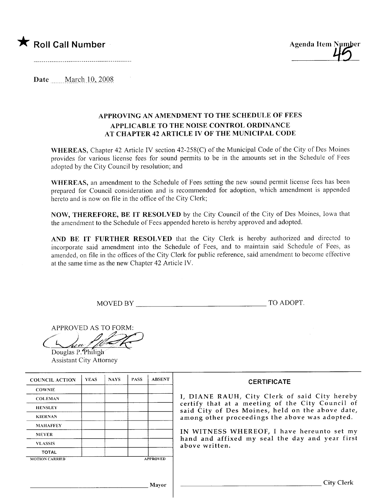



Date \_\_\_\_\_ March 10, 2008

## APPROVING AN AMENDMENT TO THE SCHEDULE OF FEES APPLICABLE TO THE NOISE CONTROL ORDINANCE AT CHAPTER 42 ARTICLE IV OF THE MUNICIPAL CODE

WHEREAS, Chapter 42 Article IV section 42-258(C) of the Municipal Code of the City of Des Moines provides for various license fees for sound permits to be in the amounts set in the Schedule of Fees adopted by the City Council by resolution; and

WHEREAS, an amendment to the Schedule of Fees setting the new sound permit license fees has been prepared for Council consideration and is recommended for adoption, which amendment is appended hereto and is now on file in the office of the City Clerk;

NOW, THEREFORE, BE IT RESOLVED by the City Council of the City of Des Moines, Iowa that the amendment to the Schedule of Fees appended hereto is hereby approved and adopted.

AND BE IT FURTHER RESOLVED that the City Clerk is hereby authorized and directed to incorporate said amendment into the Schedule of Fees, and to maintain said Schedule of Fees, as amended, on file in the offices of the City Clerk for public reference, said amendment to become effective at the same time as the new Chapter 42 Article iv.

MOVED BY TO ADOPT.

 $APPROVED AS TO FORM:$ 

|  | nn                 |       |  |  |
|--|--------------------|-------|--|--|
|  | $\cdot$<br>andar ( | niinn |  |  |

Douglas P. Philiph Assistant City Attorney

| <b>COUNCIL ACTION</b> | <b>YEAS</b> | <b>NAYS</b> | <b>PASS</b> | <b>ABSENT</b>   | <b>CERTIFICATE</b>                                                                                   |
|-----------------------|-------------|-------------|-------------|-----------------|------------------------------------------------------------------------------------------------------|
| <b>COWNIE</b>         |             |             |             |                 |                                                                                                      |
| <b>COLEMAN</b>        |             |             |             |                 | I, DIANE RAUH, City Clerk of said City hereby                                                        |
| <b>HENSLEY</b>        |             |             |             |                 | certify that at a meeting of the City Council of<br>said City of Des Moines, held on the above date, |
| <b>KIERNAN</b>        |             |             |             |                 | among other proceedings the above was adopted.                                                       |
| <b>MAHAFFEY</b>       |             |             |             |                 |                                                                                                      |
| <b>MEYER</b>          |             |             |             |                 | IN WITNESS WHEREOF, I have hereunto set my                                                           |
| <b>VLASSIS</b>        |             |             |             |                 | hand and affixed my seal the day and year first<br>above written.                                    |
| <b>TOTAL</b>          |             |             |             |                 |                                                                                                      |
| <b>MOTION CARRIED</b> |             |             |             | <b>APPROVED</b> |                                                                                                      |
|                       |             |             |             |                 |                                                                                                      |
|                       |             |             |             | Mavor           | City Clerk                                                                                           |